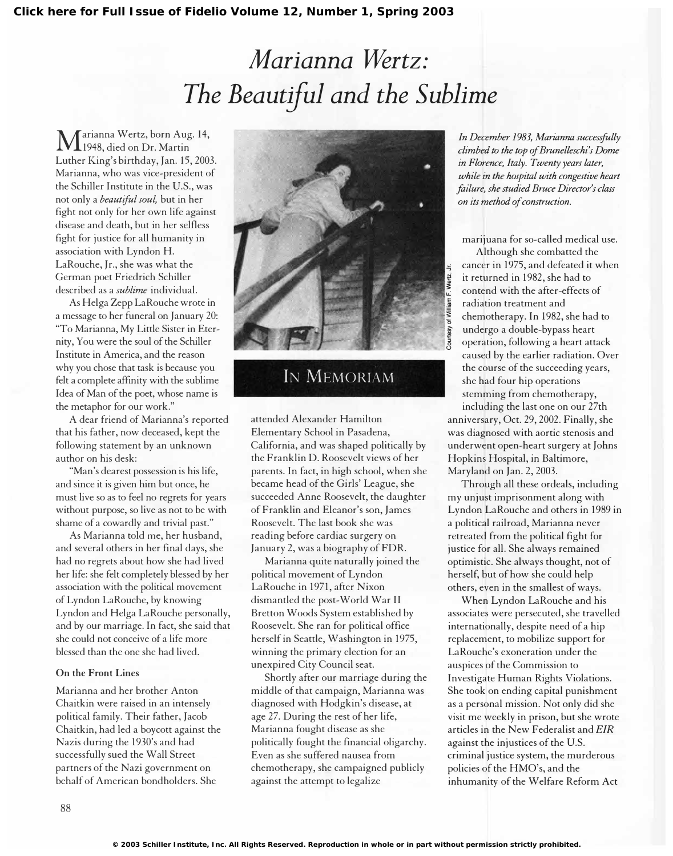I

## Marianna Wertz: The Beautiful and the Sublime

M arianna Wertz, born Aug. 14, 1948, died on Dr. Martin Luther King's birthday, Jan. 15,2003. Marianna, who was vice-president of the Schiller Institute in the U.S., was not only a beautiful soul, but in her fight not only for her own life against disease and death, but in her selfless fight for justice for all humanity in association with Lyndon H. LaRouche, Jr., she was what the German poet Friedrich Schiller described as a sublime individual.

As Helga Zepp LaRouche wrote in a message to her funeral on January 20: "To Marianna, My Little Sister in Eternity, You were the soul of the Schiller Institute in America, and the reason why you chose that task is because you felt a complete affinity with the sublime Idea of Man of the poet, whose name is the metaphor for our work."

A dear friend of Marianna's reported that his father, now deceased, kept the following statement by an unknown author on his desk:

"Man's dearest possession is his life, and since it is given him but once, he must live so as to feel no regrets for years without purpose, so live as not to be with shame of a cowardly and trivial past."

As Marianna told me, her husband, and several others in her final days, she had no regrets about how she had lived her life: she felt completely blessed by her association with the political movement of Lyndon LaRouche, by knowing Lyndon and Helga LaRouche personally, and by our marriage. In fact, she said that she could not conceive of a life more blessed than the one she had lived.

## On the Front Lines

Marianna and her brother Anton Chaitkin were raised in an intensely political family. Their father, Jacob Chaitkin, had led a boycott against the Nazis during the 1930's and had successfully sued the Wall Street partners of the Nazi government on behalf of American bondholders. She



## IN MEMORIAM

attended Alexander Hamilton Elementary School in Pasadena, California, and was shaped politically by the Franklin D. Roosevelt views of her parents. In fact, in high school, when she became head of the Girls' League, she succeeded Anne Roosevelt, the daughter of Franklin and Eleanor's son, James Roosevelt. The last book she was reading before cardiac surgery on January 2, was a biography of FDR.

Marianna quite naturally joined the political movement of Lyndon LaRouche in 1971, after Nixon dismantled the post-World War II Bretton Woods System established by Roosevelt. She ran for political office herself in Seattle, Washington in 1975, winning the primary election for an unexpired City Council seat.

Shortly after our marriage during the middle of that campaign, Marianna was diagnosed with Hodgkin's disease, at age 27. During the rest of her life, Marianna fought disease as she politically fought the financial oligarchy. Even as she suffered nausea from chemotherapy, she campaigned publicly against the attempt to legalize

In December 1983, Marianna successfully climbed to the top of Brunelleschi's Dome in Florence, Italy. Twenty years later, while in the hospital with congestive heart failure, she studied Bruce Director's class on its method of comtruction.

marijuana for so-called medical use.

Although she combatted the cancer in 1975, and defeated it when it returned in 1982, she had to contend with the after-effects of radiation treatment and chemotherapy. In 1982, she had to undergo a double-bypass heart operation, following a heart attack caused by the earlier radiation. Over the course of the succeeding years, she had four hip operations stemming from chemotherapy, including the last one on our 27th anniversary, Oct. 29, 2002. Finally, she

was diagnosed with aortic stenosis and underwent open-heart surgery at Johns Hopkins Hospital, in Baltimore, Maryland on Jan. 2, 2003.

Through all these ordeals, including my unjust imprisonment along with Lyndon LaRouche and others in 1989 in a political railroad, Marianna never retreated from the political fight for justice for all. She always remained optimistic. She always thought, not of herself, but of how she could help others, even in the smallest of ways.

When Lyndon LaRouche and his associates were persecuted, she travelled internationally, despite need of a hip replacement, to mobilize support for LaRouche's exoneration under the auspices of the Commission to Investigate Human Rights Violations. She took on ending capital punishment as a personal mission. Not only did she visit me weekly in prison, but she wrote articles in the New Federalist and EIR against the injustices of the U.S. criminal justice system, the murderous policies of the HMO's, and the inhumanity of the Welfare Reform Act